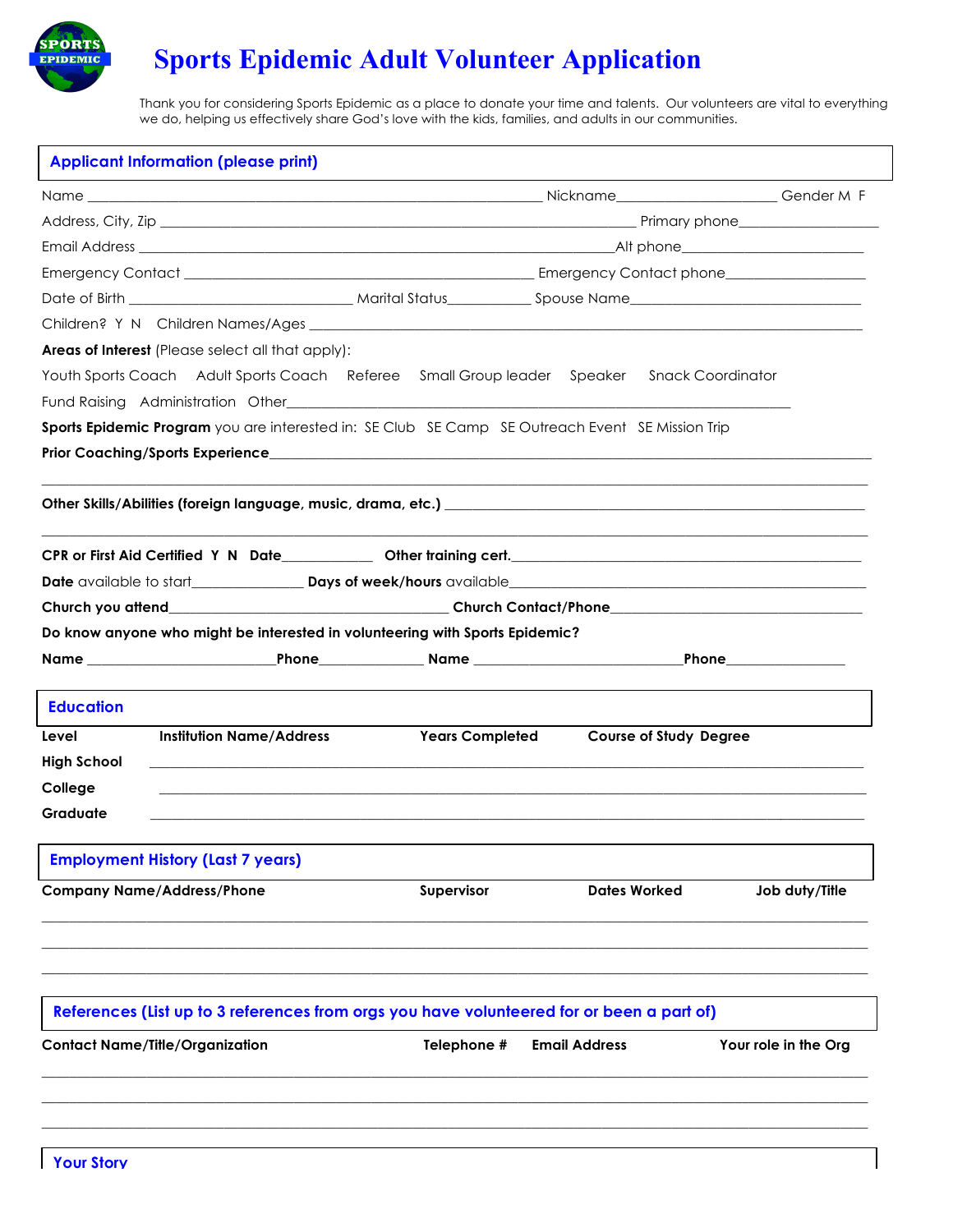

Thank you for considering Sports Epidemic as a place to donate your time and talents. Our volunteers are vital to everything we do, helping us effectively share God's love with the kids, families, and adults in our communities.

| <b>Applicant Information (please print)</b>                                                                                                                                                                                    |  |                        |                      |                               |                      |  |
|--------------------------------------------------------------------------------------------------------------------------------------------------------------------------------------------------------------------------------|--|------------------------|----------------------|-------------------------------|----------------------|--|
|                                                                                                                                                                                                                                |  |                        |                      |                               |                      |  |
|                                                                                                                                                                                                                                |  |                        |                      |                               |                      |  |
|                                                                                                                                                                                                                                |  |                        |                      |                               |                      |  |
|                                                                                                                                                                                                                                |  |                        |                      |                               |                      |  |
|                                                                                                                                                                                                                                |  |                        |                      |                               |                      |  |
|                                                                                                                                                                                                                                |  |                        |                      |                               |                      |  |
| <b>Areas of Interest</b> (Please select all that apply):                                                                                                                                                                       |  |                        |                      |                               |                      |  |
| Youth Sports Coach Adult Sports Coach Referee Small Group leader Speaker Snack Coordinator                                                                                                                                     |  |                        |                      |                               |                      |  |
| Fund Raising Administration Other Changes and Changes and Changes and Changes and Changes and Changes and Changes and Changes and Changes and Changes and Changes and Changes and Changes and Changes and Changes and Changes  |  |                        |                      |                               |                      |  |
| Sports Epidemic Program you are interested in: SE Club SE Camp SE Outreach Event SE Mission Trip                                                                                                                               |  |                        |                      |                               |                      |  |
|                                                                                                                                                                                                                                |  |                        |                      |                               |                      |  |
| Other Skills/Abilities (foreign language, music, drama, etc.) National Communication of the control of the control of the control of the control of the control of the control of the control of the control of the control of |  |                        |                      |                               |                      |  |
| CPR or First Aid Certified Y N Date ___________ Other training cert. _______________________________                                                                                                                           |  |                        |                      |                               |                      |  |
|                                                                                                                                                                                                                                |  |                        |                      |                               |                      |  |
|                                                                                                                                                                                                                                |  |                        |                      |                               |                      |  |
| Do know anyone who might be interested in volunteering with Sports Epidemic?                                                                                                                                                   |  |                        |                      |                               |                      |  |
|                                                                                                                                                                                                                                |  |                        |                      |                               |                      |  |
| <b>Education</b>                                                                                                                                                                                                               |  |                        |                      |                               |                      |  |
| <b>Institution Name/Address</b><br>Level                                                                                                                                                                                       |  | <b>Years Completed</b> |                      | <b>Course of Study Degree</b> |                      |  |
| <b>High School</b>                                                                                                                                                                                                             |  |                        |                      |                               |                      |  |
| College                                                                                                                                                                                                                        |  |                        |                      |                               |                      |  |
| Graduate                                                                                                                                                                                                                       |  |                        |                      |                               |                      |  |
| <b>Employment History (Last 7 years)</b>                                                                                                                                                                                       |  |                        |                      |                               |                      |  |
| <b>Company Name/Address/Phone</b>                                                                                                                                                                                              |  | Supervisor             | <b>Dates Worked</b>  |                               | Job duty/Title       |  |
|                                                                                                                                                                                                                                |  |                        |                      |                               |                      |  |
| References (List up to 3 references from orgs you have volunteered for or been a part of)                                                                                                                                      |  |                        |                      |                               |                      |  |
| <b>Contact Name/Title/Organization</b>                                                                                                                                                                                         |  | Telephone #            | <b>Email Address</b> |                               | Your role in the Org |  |
|                                                                                                                                                                                                                                |  |                        |                      |                               |                      |  |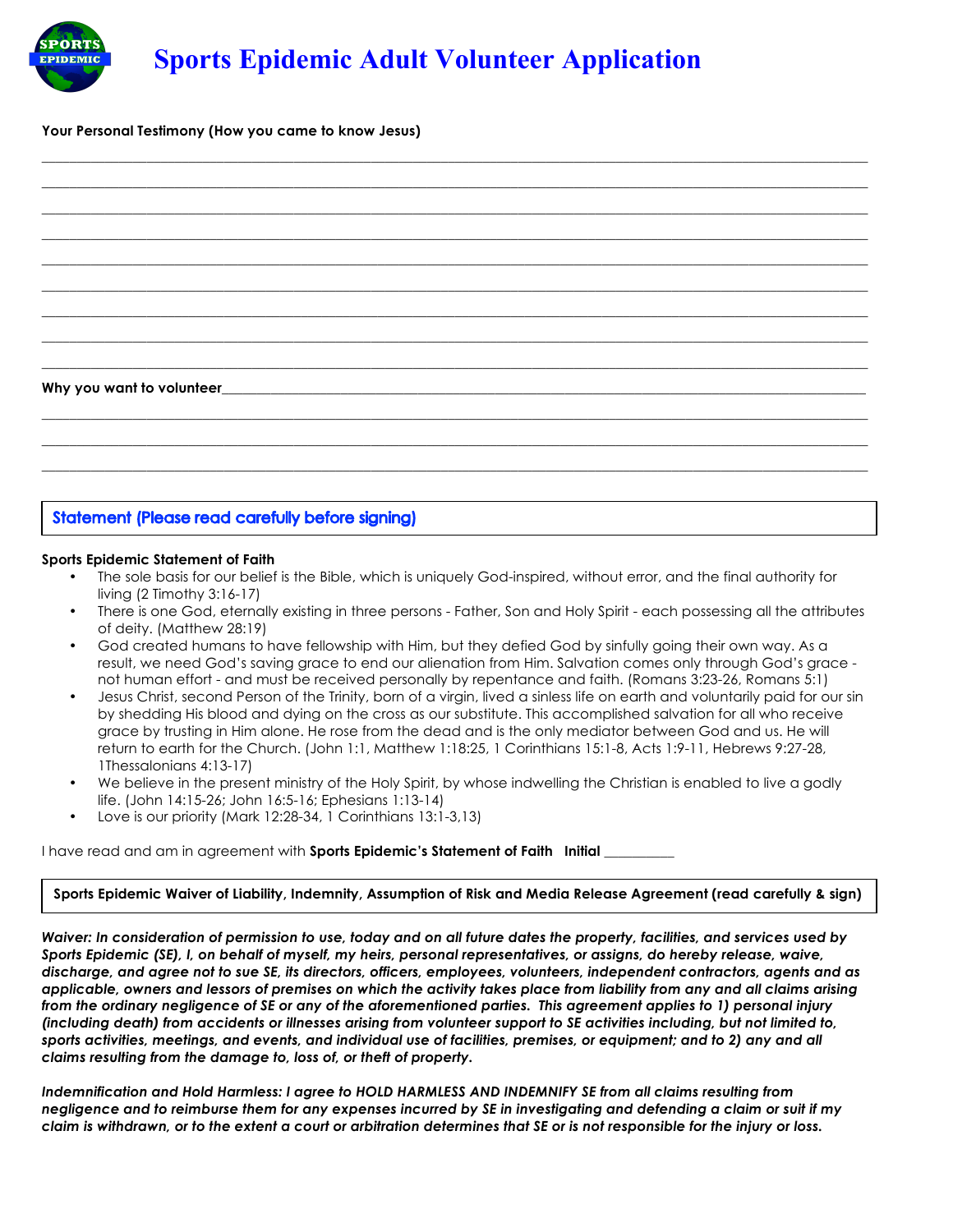**\_\_\_\_\_\_\_\_\_\_\_\_\_\_\_\_\_\_\_\_\_\_\_\_\_\_\_\_\_\_\_\_\_\_\_\_\_\_\_\_\_\_\_\_\_\_\_\_\_\_\_\_\_\_\_\_\_\_\_\_\_\_\_\_\_\_\_\_\_\_\_\_\_\_\_\_\_\_\_\_\_\_\_\_\_\_\_\_\_\_\_\_\_\_\_\_\_\_\_\_\_\_\_\_\_\_\_\_\_\_\_\_\_\_\_\_\_\_ \_\_\_\_\_\_\_\_\_\_\_\_\_\_\_\_\_\_\_\_\_\_\_\_\_\_\_\_\_\_\_\_\_\_\_\_\_\_\_\_\_\_\_\_\_\_\_\_\_\_\_\_\_\_\_\_\_\_\_\_\_\_\_\_\_\_\_\_\_\_\_\_\_\_\_\_\_\_\_\_\_\_\_\_\_\_\_\_\_\_\_\_\_\_\_\_\_\_\_\_\_\_\_\_\_\_\_\_\_\_\_\_\_\_\_\_\_\_ \_\_\_\_\_\_\_\_\_\_\_\_\_\_\_\_\_\_\_\_\_\_\_\_\_\_\_\_\_\_\_\_\_\_\_\_\_\_\_\_\_\_\_\_\_\_\_\_\_\_\_\_\_\_\_\_\_\_\_\_\_\_\_\_\_\_\_\_\_\_\_\_\_\_\_\_\_\_\_\_\_\_\_\_\_\_\_\_\_\_\_\_\_\_\_\_\_\_\_\_\_\_\_\_\_\_\_\_\_\_\_\_\_\_\_\_\_\_ \_\_\_\_\_\_\_\_\_\_\_\_\_\_\_\_\_\_\_\_\_\_\_\_\_\_\_\_\_\_\_\_\_\_\_\_\_\_\_\_\_\_\_\_\_\_\_\_\_\_\_\_\_\_\_\_\_\_\_\_\_\_\_\_\_\_\_\_\_\_\_\_\_\_\_\_\_\_\_\_\_\_\_\_\_\_\_\_\_\_\_\_\_\_\_\_\_\_\_\_\_\_\_\_\_\_\_\_\_\_\_\_\_\_\_\_\_\_ \_\_\_\_\_\_\_\_\_\_\_\_\_\_\_\_\_\_\_\_\_\_\_\_\_\_\_\_\_\_\_\_\_\_\_\_\_\_\_\_\_\_\_\_\_\_\_\_\_\_\_\_\_\_\_\_\_\_\_\_\_\_\_\_\_\_\_\_\_\_\_\_\_\_\_\_\_\_\_\_\_\_\_\_\_\_\_\_\_\_\_\_\_\_\_\_\_\_\_\_\_\_\_\_\_\_\_\_\_\_\_\_\_\_\_\_\_\_ \_\_\_\_\_\_\_\_\_\_\_\_\_\_\_\_\_\_\_\_\_\_\_\_\_\_\_\_\_\_\_\_\_\_\_\_\_\_\_\_\_\_\_\_\_\_\_\_\_\_\_\_\_\_\_\_\_\_\_\_\_\_\_\_\_\_\_\_\_\_\_\_\_\_\_\_\_\_\_\_\_\_\_\_\_\_\_\_\_\_\_\_\_\_\_\_\_\_\_\_\_\_\_\_\_\_\_\_\_\_\_\_\_\_\_\_\_\_ \_\_\_\_\_\_\_\_\_\_\_\_\_\_\_\_\_\_\_\_\_\_\_\_\_\_\_\_\_\_\_\_\_\_\_\_\_\_\_\_\_\_\_\_\_\_\_\_\_\_\_\_\_\_\_\_\_\_\_\_\_\_\_\_\_\_\_\_\_\_\_\_\_\_\_\_\_\_\_\_\_\_\_\_\_\_\_\_\_\_\_\_\_\_\_\_\_\_\_\_\_\_\_\_\_\_\_\_\_\_\_\_\_\_\_\_\_\_ \_\_\_\_\_\_\_\_\_\_\_\_\_\_\_\_\_\_\_\_\_\_\_\_\_\_\_\_\_\_\_\_\_\_\_\_\_\_\_\_\_\_\_\_\_\_\_\_\_\_\_\_\_\_\_\_\_\_\_\_\_\_\_\_\_\_\_\_\_\_\_\_\_\_\_\_\_\_\_\_\_\_\_\_\_\_\_\_\_\_\_\_\_\_\_\_\_\_\_\_\_\_\_\_\_\_\_\_\_\_\_\_\_\_\_\_\_\_ \_\_\_\_\_\_\_\_\_\_\_\_\_\_\_\_\_\_\_\_\_\_\_\_\_\_\_\_\_\_\_\_\_\_\_\_\_\_\_\_\_\_\_\_\_\_\_\_\_\_\_\_\_\_\_\_\_\_\_\_\_\_\_\_\_\_\_\_\_\_\_\_\_\_\_\_\_\_\_\_\_\_\_\_\_\_\_\_\_\_\_\_\_\_\_\_\_\_\_\_\_\_\_\_\_\_\_\_\_\_\_\_\_\_\_\_\_\_**



Why you want to volunteer

PÔRT EPIDEMIC

### **Statement (Please read carefully before signing)**

#### **Sports Epidemic Statement of Faith**

• The sole basis for our belief is the Bible, which is uniquely God-inspired, without error, and the final authority for living (2 Timothy 3:16-17)

**\_\_\_\_\_\_\_\_\_\_\_\_\_\_\_\_\_\_\_\_\_\_\_\_\_\_\_\_\_\_\_\_\_\_\_\_\_\_\_\_\_\_\_\_\_\_\_\_\_\_\_\_\_\_\_\_\_\_\_\_\_\_\_\_\_\_\_\_\_\_\_\_\_\_\_\_\_\_\_\_\_\_\_\_\_\_\_\_\_\_\_\_\_\_\_\_\_\_\_\_\_\_\_\_\_\_\_\_\_\_\_\_\_\_\_\_\_\_ \_\_\_\_\_\_\_\_\_\_\_\_\_\_\_\_\_\_\_\_\_\_\_\_\_\_\_\_\_\_\_\_\_\_\_\_\_\_\_\_\_\_\_\_\_\_\_\_\_\_\_\_\_\_\_\_\_\_\_\_\_\_\_\_\_\_\_\_\_\_\_\_\_\_\_\_\_\_\_\_\_\_\_\_\_\_\_\_\_\_\_\_\_\_\_\_\_\_\_\_\_\_\_\_\_\_\_\_\_\_\_\_\_\_\_\_\_\_ \_\_\_\_\_\_\_\_\_\_\_\_\_\_\_\_\_\_\_\_\_\_\_\_\_\_\_\_\_\_\_\_\_\_\_\_\_\_\_\_\_\_\_\_\_\_\_\_\_\_\_\_\_\_\_\_\_\_\_\_\_\_\_\_\_\_\_\_\_\_\_\_\_\_\_\_\_\_\_\_\_\_\_\_\_\_\_\_\_\_\_\_\_\_\_\_\_\_\_\_\_\_\_\_\_\_\_\_\_\_\_\_\_\_\_\_\_\_**

- There is one God, eternally existing in three persons Father, Son and Holy Spirit each possessing all the attributes of deity. (Matthew 28:19)
- God created humans to have fellowship with Him, but they defied God by sinfully going their own way. As a result, we need God's saving grace to end our alienation from Him. Salvation comes only through God's grace not human effort - and must be received personally by repentance and faith. (Romans 3:23-26, Romans 5:1)
- Jesus Christ, second Person of the Trinity, born of a virgin, lived a sinless life on earth and voluntarily paid for our sin by shedding His blood and dying on the cross as our substitute. This accomplished salvation for all who receive grace by trusting in Him alone. He rose from the dead and is the only mediator between God and us. He will return to earth for the Church. (John 1:1, Matthew 1:18:25, 1 Corinthians 15:1-8, Acts 1:9-11, Hebrews 9:27-28, 1Thessalonians 4:13-17)
- We believe in the present ministry of the Holy Spirit, by whose indwelling the Christian is enabled to live a godly life. (John 14:15-26; John 16:5-16; Ephesians 1:13-14)
- Love is our priority (Mark 12:28-34, 1 Corinthians 13:1-3,13)

I have read and am in agreement with **Sports Epidemic's Statement of Faith Initial \_**\_\_\_\_\_\_\_\_\_

**Sports Epidemic Waiver of Liability, Indemnity, Assumption of Risk and Media Release Agreement (read carefully & sign)**

*Waiver: In consideration of permission to use, today and on all future dates the property, facilities, and services used by Sports Epidemic (SE), I, on behalf of myself, my heirs, personal representatives, or assigns, do hereby release, waive, discharge, and agree not to sue SE, its directors, officers, employees, volunteers, independent contractors, agents and as applicable, owners and lessors of premises on which the activity takes place from liability from any and all claims arising from the ordinary negligence of SE or any of the aforementioned parties. This agreement applies to 1) personal injury (including death) from accidents or illnesses arising from volunteer support to SE activities including, but not limited to, sports activities, meetings, and events, and individual use of facilities, premises, or equipment; and to 2) any and all claims resulting from the damage to, loss of, or theft of property.* 

*Indemnification and Hold Harmless: I agree to HOLD HARMLESS AND INDEMNIFY SE from all claims resulting from negligence and to reimburse them for any expenses incurred by SE in investigating and defending a claim or suit if my claim is withdrawn, or to the extent a court or arbitration determines that SE or is not responsible for the injury or loss.*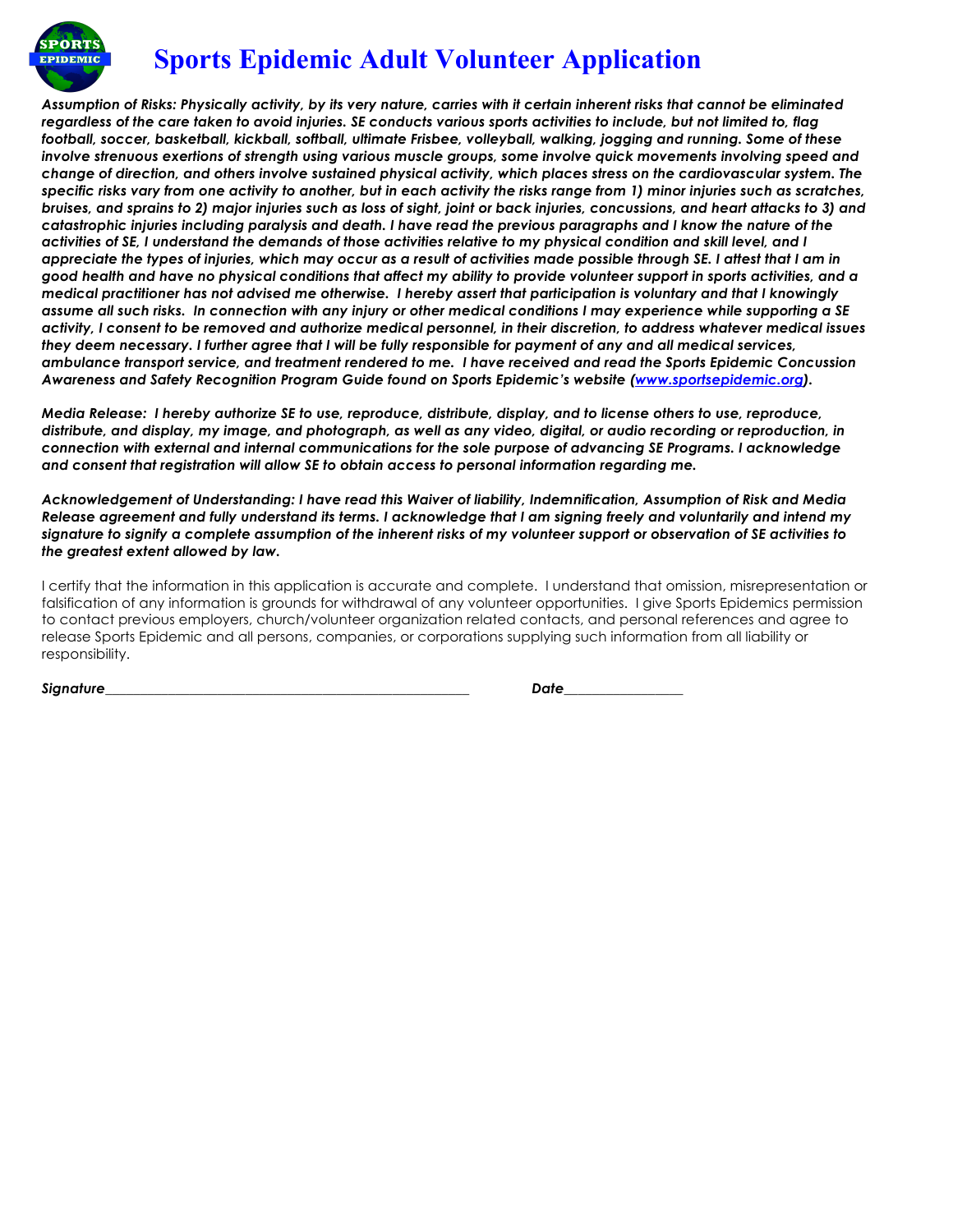

*Assumption of Risks: Physically activity, by its very nature, carries with it certain inherent risks that cannot be eliminated regardless of the care taken to avoid injuries. SE conducts various sports activities to include, but not limited to, flag football, soccer, basketball, kickball, softball, ultimate Frisbee, volleyball, walking, jogging and running. Some of these involve strenuous exertions of strength using various muscle groups, some involve quick movements involving speed and change of direction, and others involve sustained physical activity, which places stress on the cardiovascular system. The specific risks vary from one activity to another, but in each activity the risks range from 1) minor injuries such as scratches, bruises, and sprains to 2) major injuries such as loss of sight, joint or back injuries, concussions, and heart attacks to 3) and catastrophic injuries including paralysis and death. I have read the previous paragraphs and I know the nature of the activities of SE, I understand the demands of those activities relative to my physical condition and skill level, and I appreciate the types of injuries, which may occur as a result of activities made possible through SE. I attest that I am in good health and have no physical conditions that affect my ability to provide volunteer support in sports activities, and a medical practitioner has not advised me otherwise. I hereby assert that participation is voluntary and that I knowingly assume all such risks. In connection with any injury or other medical conditions I may experience while supporting a SE activity, I consent to be removed and authorize medical personnel, in their discretion, to address whatever medical issues they deem necessary. I further agree that I will be fully responsible for payment of any and all medical services, ambulance transport service, and treatment rendered to me. I have received and read the Sports Epidemic Concussion Awareness and Safety Recognition Program Guide found on Sports Epidemic's website (www.sportsepidemic.org).* 

*Media Release: I hereby authorize SE to use, reproduce, distribute, display, and to license others to use, reproduce, distribute, and display, my image, and photograph, as well as any video, digital, or audio recording or reproduction, in connection with external and internal communications for the sole purpose of advancing SE Programs. I acknowledge and consent that registration will allow SE to obtain access to personal information regarding me.* 

*Acknowledgement of Understanding: I have read this Waiver of liability, Indemnification, Assumption of Risk and Media Release agreement and fully understand its terms. I acknowledge that I am signing freely and voluntarily and intend my signature to signify a complete assumption of the inherent risks of my volunteer support or observation of SE activities to the greatest extent allowed by law.*

I certify that the information in this application is accurate and complete. I understand that omission, misrepresentation or falsification of any information is grounds for withdrawal of any volunteer opportunities. I give Sports Epidemics permission to contact previous employers, church/volunteer organization related contacts, and personal references and agree to release Sports Epidemic and all persons, companies, or corporations supplying such information from all liability or responsibility.

*Signature\_\_\_\_\_\_\_\_\_\_\_\_\_\_\_\_\_\_\_\_\_\_\_\_\_\_\_\_\_\_\_\_\_\_\_\_\_\_\_\_\_\_\_\_\_\_\_\_\_\_\_\_ Date\_\_\_\_\_\_\_\_\_\_\_\_\_\_\_\_\_*